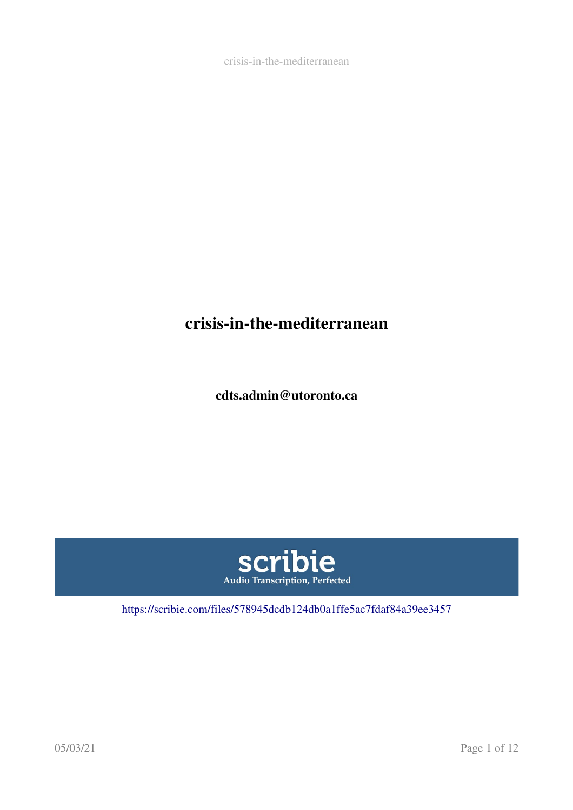# crisis-in-the-mediterranean

cdts.admin@utoronto.ca



<https://scribie.com/files/578945dcdb124db0a1ffe5ac7fdaf84a39ee3457>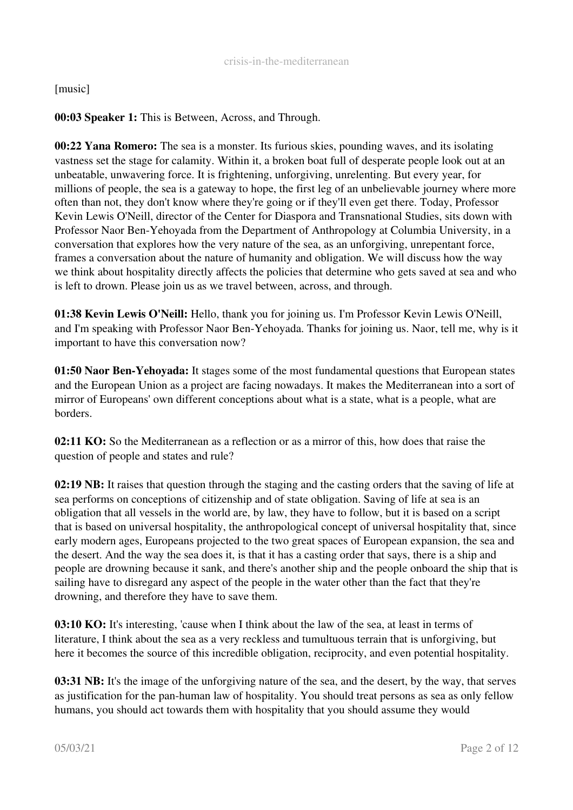## [music]

## 00:03 Speaker 1: This is Between, Across, and Through.

00:22 Yana Romero: The sea is a monster. Its furious skies, pounding waves, and its isolating vastness set the stage for calamity. Within it, a broken boat full of desperate people look out at an unbeatable, unwavering force. It is frightening, unforgiving, unrelenting. But every year, for millions of people, the sea is a gateway to hope, the first leg of an unbelievable journey where more often than not, they don't know where they're going or if they'll even get there. Today, Professor Kevin Lewis O'Neill, director of the Center for Diaspora and Transnational Studies, sits down with Professor Naor Ben-Yehoyada from the Department of Anthropology at Columbia University, in a conversation that explores how the very nature of the sea, as an unforgiving, unrepentant force, frames a conversation about the nature of humanity and obligation. We will discuss how the way we think about hospitality directly affects the policies that determine who gets saved at sea and who is left to drown. Please join us as we travel between, across, and through.

01:38 Kevin Lewis O'Neill: Hello, thank you for joining us. I'm Professor Kevin Lewis O'Neill, and I'm speaking with Professor Naor Ben-Yehoyada. Thanks for joining us. Naor, tell me, why is it important to have this conversation now?

01:50 Naor Ben-Yehoyada: It stages some of the most fundamental questions that European states and the European Union as a project are facing nowadays. It makes the Mediterranean into a sort of mirror of Europeans' own different conceptions about what is a state, what is a people, what are borders.

02:11 KO: So the Mediterranean as a reflection or as a mirror of this, how does that raise the question of people and states and rule?

02:19 NB: It raises that question through the staging and the casting orders that the saving of life at sea performs on conceptions of citizenship and of state obligation. Saving of life at sea is an obligation that all vessels in the world are, by law, they have to follow, but it is based on a script that is based on universal hospitality, the anthropological concept of universal hospitality that, since early modern ages, Europeans projected to the two great spaces of European expansion, the sea and the desert. And the way the sea does it, is that it has a casting order that says, there is a ship and people are drowning because it sank, and there's another ship and the people onboard the ship that is sailing have to disregard any aspect of the people in the water other than the fact that they're drowning, and therefore they have to save them.

**03:10 KO:** It's interesting, 'cause when I think about the law of the sea, at least in terms of literature, I think about the sea as a very reckless and tumultuous terrain that is unforgiving, but here it becomes the source of this incredible obligation, reciprocity, and even potential hospitality.

03:31 NB: It's the image of the unforgiving nature of the sea, and the desert, by the way, that serves as justification for the pan-human law of hospitality. You should treat persons as sea as only fellow humans, you should act towards them with hospitality that you should assume they would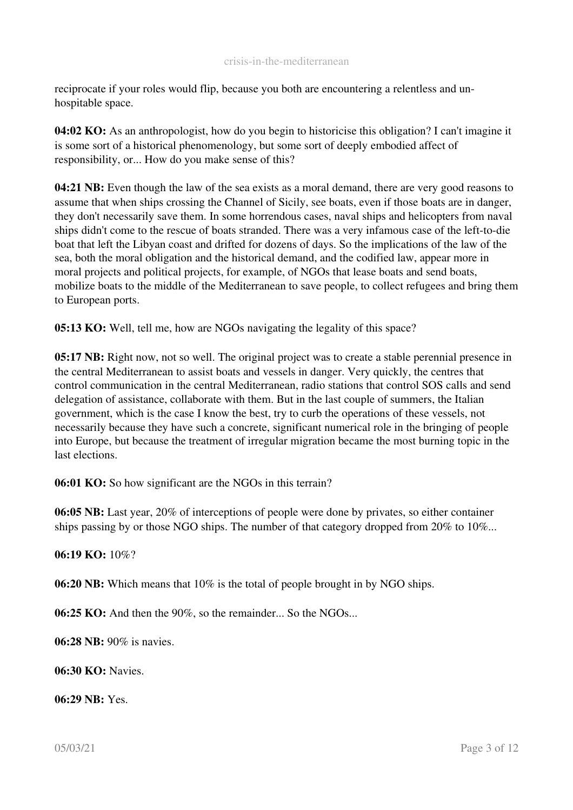reciprocate if your roles would flip, because you both are encountering a relentless and unhospitable space.

04:02 KO: As an anthropologist, how do you begin to historicise this obligation? I can't imagine it is some sort of a historical phenomenology, but some sort of deeply embodied affect of responsibility, or... How do you make sense of this?

04:21 NB: Even though the law of the sea exists as a moral demand, there are very good reasons to assume that when ships crossing the Channel of Sicily, see boats, even if those boats are in danger, they don't necessarily save them. In some horrendous cases, naval ships and helicopters from naval ships didn't come to the rescue of boats stranded. There was a very infamous case of the left-to-die boat that left the Libyan coast and drifted for dozens of days. So the implications of the law of the sea, both the moral obligation and the historical demand, and the codified law, appear more in moral projects and political projects, for example, of NGOs that lease boats and send boats, mobilize boats to the middle of the Mediterranean to save people, to collect refugees and bring them to European ports.

05:13 KO: Well, tell me, how are NGOs navigating the legality of this space?

05:17 NB: Right now, not so well. The original project was to create a stable perennial presence in the central Mediterranean to assist boats and vessels in danger. Very quickly, the centres that control communication in the central Mediterranean, radio stations that control SOS calls and send delegation of assistance, collaborate with them. But in the last couple of summers, the Italian government, which is the case I know the best, try to curb the operations of these vessels, not necessarily because they have such a concrete, significant numerical role in the bringing of people into Europe, but because the treatment of irregular migration became the most burning topic in the last elections.

06:01 KO: So how significant are the NGOs in this terrain?

06:05 NB: Last year, 20% of interceptions of people were done by privates, so either container ships passing by or those NGO ships. The number of that category dropped from 20% to 10%...

## 06:19 KO: 10%?

06:20 NB: Which means that 10% is the total of people brought in by NGO ships.

06:25 KO: And then the 90%, so the remainder... So the NGOs...

06:28 NB: 90% is navies.

 $06.30 \text{ K}$  $0. \text{N}$ avies

06:29 NB: Yes.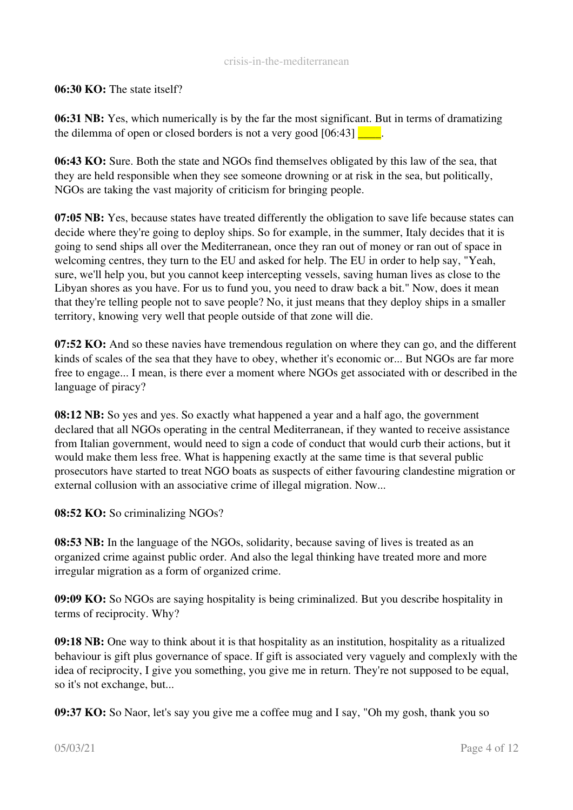#### 06:30 KO: The state itself?

06:31 NB: Yes, which numerically is by the far the most significant. But in terms of dramatizing the dilemma of open or closed borders is not a very good  $[06:43]$ .

06:43 KO: Sure. Both the state and NGOs find themselves obligated by this law of the sea, that they are held responsible when they see someone drowning or at risk in the sea, but politically, NGOs are taking the vast majority of criticism for bringing people.

07:05 NB: Yes, because states have treated differently the obligation to save life because states can decide where they're going to deploy ships. So for example, in the summer, Italy decides that it is going to send ships all over the Mediterranean, once they ran out of money or ran out of space in welcoming centres, they turn to the EU and asked for help. The EU in order to help say, "Yeah, sure, we'll help you, but you cannot keep intercepting vessels, saving human lives as close to the Libyan shores as you have. For us to fund you, you need to draw back a bit." Now, does it mean that they're telling people not to save people? No, it just means that they deploy ships in a smaller territory, knowing very well that people outside of that zone will die.

07:52 KO: And so these navies have tremendous regulation on where they can go, and the different kinds of scales of the sea that they have to obey, whether it's economic or... But NGOs are far more free to engage... I mean, is there ever a moment where NGOs get associated with or described in the language of piracy?

08:12 NB: So yes and yes. So exactly what happened a year and a half ago, the government declared that all NGOs operating in the central Mediterranean, if they wanted to receive assistance from Italian government, would need to sign a code of conduct that would curb their actions, but it would make them less free. What is happening exactly at the same time is that several public prosecutors have started to treat NGO boats as suspects of either favouring clandestine migration or external collusion with an associative crime of illegal migration. Now...

08:52 KO: So criminalizing NGOs?

08:53 NB: In the language of the NGOs, solidarity, because saving of lives is treated as an organized crime against public order. And also the legal thinking have treated more and more irregular migration as a form of organized crime.

09:09 KO: So NGOs are saying hospitality is being criminalized. But you describe hospitality in terms of reciprocity. Why?

09:18 NB: One way to think about it is that hospitality as an institution, hospitality as a ritualized behaviour is gift plus governance of space. If gift is associated very vaguely and complexly with the idea of reciprocity, I give you something, you give me in return. They're not supposed to be equal, so it's not exchange, but...

09:37 KO: So Naor, let's say you give me a coffee mug and I say, "Oh my gosh, thank you so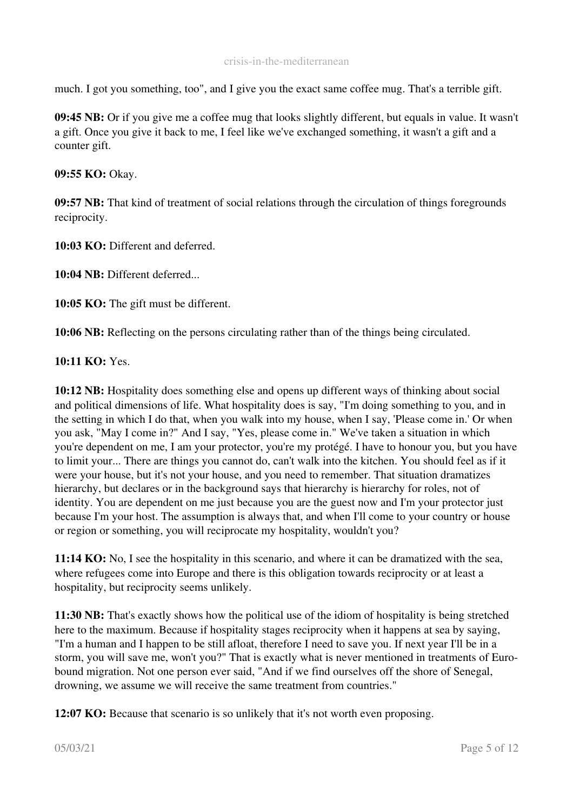much. I got you something, too", and I give you the exact same coffee mug. That's a terrible gift.

09:45 NB: Or if you give me a coffee mug that looks slightly different, but equals in value. It wasn't a gift. Once you give it back to me, I feel like we've exchanged something, it wasn't a gift and a counter gift.

09:55 KO: Okay.

09:57 NB: That kind of treatment of social relations through the circulation of things foregrounds reciprocity.

10:03 KO: Different and deferred.

10:04 NB: Different deferred...

10:05 KO: The gift must be different.

10:06 NB: Reflecting on the persons circulating rather than of the things being circulated.

10:11 KO: Yes.

10:12 NB: Hospitality does something else and opens up different ways of thinking about social and political dimensions of life. What hospitality does is say, "I'm doing something to you, and in the setting in which I do that, when you walk into my house, when I say, 'Please come in.' Or when you ask, "May I come in?" And I say, "Yes, please come in." We've taken a situation in which you're dependent on me, I am your protector, you're my protégé. I have to honour you, but you have to limit your... There are things you cannot do, can't walk into the kitchen. You should feel as if it were your house, but it's not your house, and you need to remember. That situation dramatizes hierarchy, but declares or in the background says that hierarchy is hierarchy for roles, not of identity. You are dependent on me just because you are the guest now and I'm your protector just because I'm your host. The assumption is always that, and when I'll come to your country or house or region or something, you will reciprocate my hospitality, wouldn't you?

11:14 KO: No, I see the hospitality in this scenario, and where it can be dramatized with the sea, where refugees come into Europe and there is this obligation towards reciprocity or at least a hospitality, but reciprocity seems unlikely.

11:30 NB: That's exactly shows how the political use of the idiom of hospitality is being stretched here to the maximum. Because if hospitality stages reciprocity when it happens at sea by saying, "I'm a human and I happen to be still afloat, therefore I need to save you. If next year I'll be in a storm, you will save me, won't you?" That is exactly what is never mentioned in treatments of Eurobound migration. Not one person ever said, "And if we find ourselves off the shore of Senegal, drowning, we assume we will receive the same treatment from countries."

12:07 KO: Because that scenario is so unlikely that it's not worth even proposing.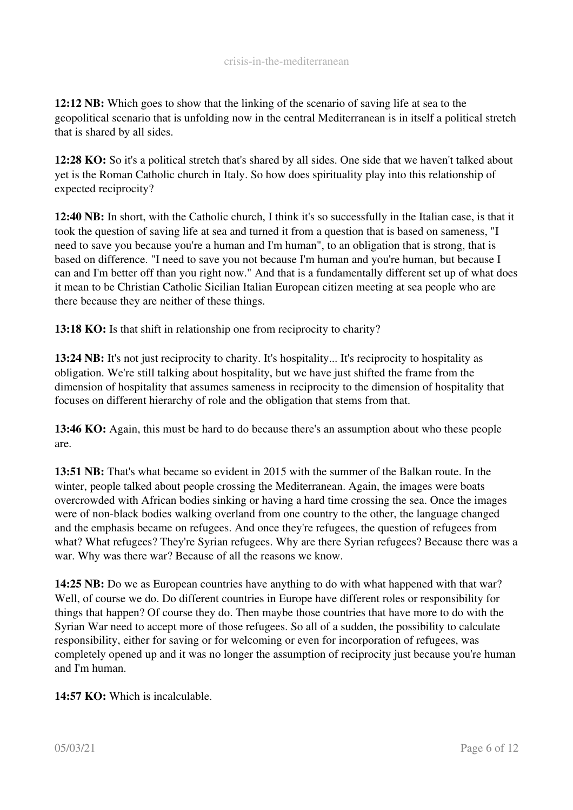12:12 NB: Which goes to show that the linking of the scenario of saving life at sea to the geopolitical scenario that is unfolding now in the central Mediterranean is in itself a political stretch that is shared by all sides.

12:28 KO: So it's a political stretch that's shared by all sides. One side that we haven't talked about yet is the Roman Catholic church in Italy. So how does spirituality play into this relationship of expected reciprocity?

12:40 NB: In short, with the Catholic church, I think it's so successfully in the Italian case, is that it took the question of saving life at sea and turned it from a question that is based on sameness, "I need to save you because you're a human and I'm human", to an obligation that is strong, that is based on difference. "I need to save you not because I'm human and you're human, but because I can and I'm better off than you right now." And that is a fundamentally different set up of what does it mean to be Christian Catholic Sicilian Italian European citizen meeting at sea people who are there because they are neither of these things.

13:18 KO: Is that shift in relationship one from reciprocity to charity?

13:24 NB: It's not just reciprocity to charity. It's hospitality... It's reciprocity to hospitality as obligation. We're still talking about hospitality, but we have just shifted the frame from the dimension of hospitality that assumes sameness in reciprocity to the dimension of hospitality that focuses on different hierarchy of role and the obligation that stems from that.

13:46 KO: Again, this must be hard to do because there's an assumption about who these people are.

13:51 NB: That's what became so evident in 2015 with the summer of the Balkan route. In the winter, people talked about people crossing the Mediterranean. Again, the images were boats overcrowded with African bodies sinking or having a hard time crossing the sea. Once the images were of non-black bodies walking overland from one country to the other, the language changed and the emphasis became on refugees. And once they're refugees, the question of refugees from what? What refugees? They're Syrian refugees. Why are there Syrian refugees? Because there was a war. Why was there war? Because of all the reasons we know.

14:25 NB: Do we as European countries have anything to do with what happened with that war? Well, of course we do. Do different countries in Europe have different roles or responsibility for things that happen? Of course they do. Then maybe those countries that have more to do with the Syrian War need to accept more of those refugees. So all of a sudden, the possibility to calculate responsibility, either for saving or for welcoming or even for incorporation of refugees, was completely opened up and it was no longer the assumption of reciprocity just because you're human and I'm human.

14:57 KO: Which is incalculable.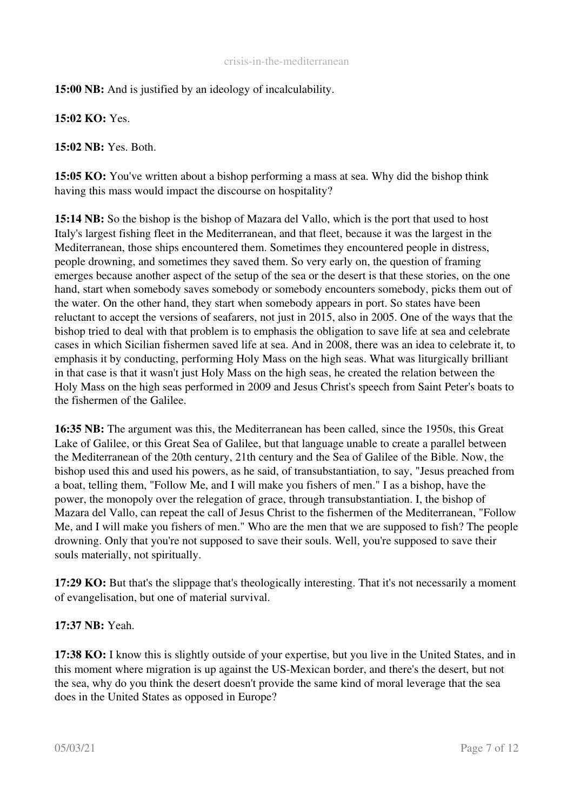15:00 NB: And is justified by an ideology of incalculability.

15:02 KO: Yes.

15:02 NB: Yes. Both.

15:05 KO: You've written about a bishop performing a mass at sea. Why did the bishop think having this mass would impact the discourse on hospitality?

15:14 NB: So the bishop is the bishop of Mazara del Vallo, which is the port that used to host Italy's largest fishing fleet in the Mediterranean, and that fleet, because it was the largest in the Mediterranean, those ships encountered them. Sometimes they encountered people in distress, people drowning, and sometimes they saved them. So very early on, the question of framing emerges because another aspect of the setup of the sea or the desert is that these stories, on the one hand, start when somebody saves somebody or somebody encounters somebody, picks them out of the water. On the other hand, they start when somebody appears in port. So states have been reluctant to accept the versions of seafarers, not just in 2015, also in 2005. One of the ways that the bishop tried to deal with that problem is to emphasis the obligation to save life at sea and celebrate cases in which Sicilian fishermen saved life at sea. And in 2008, there was an idea to celebrate it, to emphasis it by conducting, performing Holy Mass on the high seas. What was liturgically brilliant in that case is that it wasn't just Holy Mass on the high seas, he created the relation between the Holy Mass on the high seas performed in 2009 and Jesus Christ's speech from Saint Peter's boats to the fishermen of the Galilee.

16:35 NB: The argument was this, the Mediterranean has been called, since the 1950s, this Great Lake of Galilee, or this Great Sea of Galilee, but that language unable to create a parallel between the Mediterranean of the 20th century, 21th century and the Sea of Galilee of the Bible. Now, the bishop used this and used his powers, as he said, of transubstantiation, to say, "Jesus preached from a boat, telling them, "Follow Me, and I will make you fishers of men." I as a bishop, have the power, the monopoly over the relegation of grace, through transubstantiation. I, the bishop of Mazara del Vallo, can repeat the call of Jesus Christ to the fishermen of the Mediterranean, "Follow Me, and I will make you fishers of men." Who are the men that we are supposed to fish? The people drowning. Only that you're not supposed to save their souls. Well, you're supposed to save their souls materially, not spiritually.

17:29 KO: But that's the slippage that's theologically interesting. That it's not necessarily a moment of evangelisation, but one of material survival.

## 17:37 NB: Yeah.

17:38 KO: I know this is slightly outside of your expertise, but you live in the United States, and in this moment where migration is up against the US-Mexican border, and there's the desert, but not the sea, why do you think the desert doesn't provide the same kind of moral leverage that the sea does in the United States as opposed in Europe?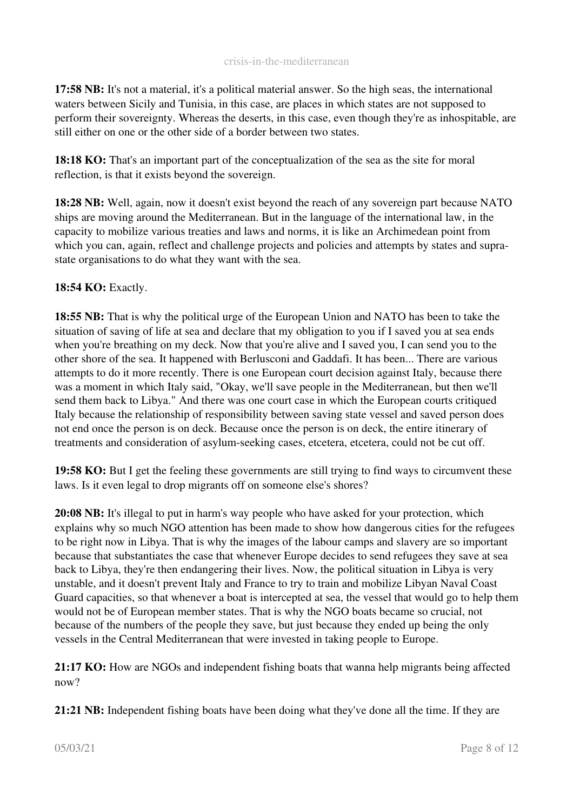17:58 NB: It's not a material, it's a political material answer. So the high seas, the international waters between Sicily and Tunisia, in this case, are places in which states are not supposed to perform their sovereignty. Whereas the deserts, in this case, even though they're as inhospitable, are still either on one or the other side of a border between two states.

18:18 KO: That's an important part of the conceptualization of the sea as the site for moral reflection, is that it exists beyond the sovereign.

18:28 NB: Well, again, now it doesn't exist beyond the reach of any sovereign part because NATO ships are moving around the Mediterranean. But in the language of the international law, in the capacity to mobilize various treaties and laws and norms, it is like an Archimedean point from which you can, again, reflect and challenge projects and policies and attempts by states and suprastate organisations to do what they want with the sea.

## 18:54 KO: Exactly.

18:55 NB: That is why the political urge of the European Union and NATO has been to take the situation of saving of life at sea and declare that my obligation to you if I saved you at sea ends when you're breathing on my deck. Now that you're alive and I saved you, I can send you to the other shore of the sea. It happened with Berlusconi and Gaddafi. It has been... There are various attempts to do it more recently. There is one European court decision against Italy, because there was a moment in which Italy said, "Okay, we'll save people in the Mediterranean, but then we'll send them back to Libya." And there was one court case in which the European courts critiqued Italy because the relationship of responsibility between saving state vessel and saved person does not end once the person is on deck. Because once the person is on deck, the entire itinerary of treatments and consideration of asylum-seeking cases, etcetera, etcetera, could not be cut off.

19:58 KO: But I get the feeling these governments are still trying to find ways to circumvent these laws. Is it even legal to drop migrants off on someone else's shores?

20:08 NB: It's illegal to put in harm's way people who have asked for your protection, which explains why so much NGO attention has been made to show how dangerous cities for the refugees to be right now in Libya. That is why the images of the labour camps and slavery are so important because that substantiates the case that whenever Europe decides to send refugees they save at sea back to Libya, they're then endangering their lives. Now, the political situation in Libya is very unstable, and it doesn't prevent Italy and France to try to train and mobilize Libyan Naval Coast Guard capacities, so that whenever a boat is intercepted at sea, the vessel that would go to help them would not be of European member states. That is why the NGO boats became so crucial, not because of the numbers of the people they save, but just because they ended up being the only vessels in the Central Mediterranean that were invested in taking people to Europe.

21:17 KO: How are NGOs and independent fishing boats that wanna help migrants being affected now?

21:21 NB: Independent fishing boats have been doing what they've done all the time. If they are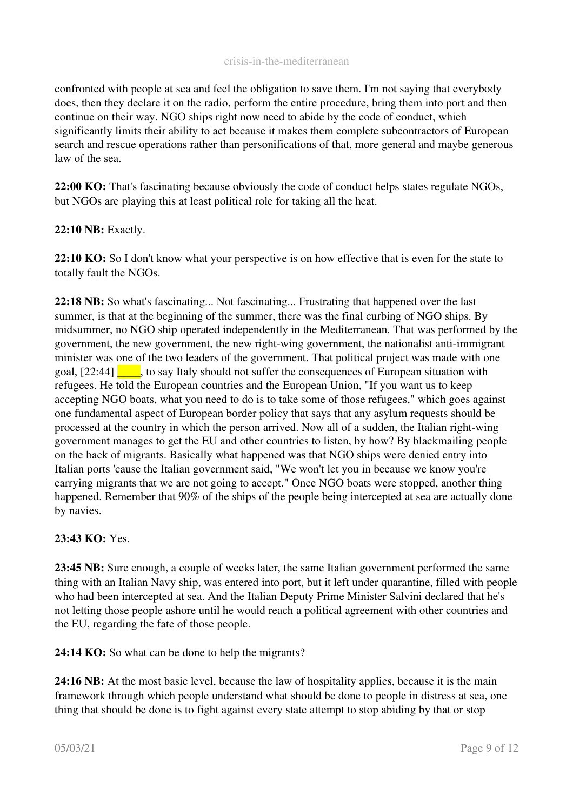confronted with people at sea and feel the obligation to save them. I'm not saying that everybody does, then they declare it on the radio, perform the entire procedure, bring them into port and then continue on their way. NGO ships right now need to abide by the code of conduct, which significantly limits their ability to act because it makes them complete subcontractors of European search and rescue operations rather than personifications of that, more general and maybe generous law of the sea.

22:00 KO: That's fascinating because obviously the code of conduct helps states regulate NGOs, but NGOs are playing this at least political role for taking all the heat.

## 22:10 NB: Exactly.

22:10 KO: So I don't know what your perspective is on how effective that is even for the state to totally fault the NGOs.

22:18 NB: So what's fascinating... Not fascinating... Frustrating that happened over the last summer, is that at the beginning of the summer, there was the final curbing of NGO ships. By midsummer, no NGO ship operated independently in the Mediterranean. That was performed by the government, the new government, the new right-wing government, the nationalist anti-immigrant minister was one of the two leaders of the government. That political project was made with one goal,  $[22:44]$ , to say Italy should not suffer the consequences of European situation with refugees. He told the European countries and the European Union, "If you want us to keep accepting NGO boats, what you need to do is to take some of those refugees," which goes against one fundamental aspect of European border policy that says that any asylum requests should be processed at the country in which the person arrived. Now all of a sudden, the Italian right-wing government manages to get the EU and other countries to listen, by how? By blackmailing people on the back of migrants. Basically what happened was that NGO ships were denied entry into Italian ports 'cause the Italian government said, "We won't let you in because we know you're carrying migrants that we are not going to accept." Once NGO boats were stopped, another thing happened. Remember that 90% of the ships of the people being intercepted at sea are actually done by navies.

#### 23:43 KO: Yes.

23:45 NB: Sure enough, a couple of weeks later, the same Italian government performed the same thing with an Italian Navy ship, was entered into port, but it left under quarantine, filled with people who had been intercepted at sea. And the Italian Deputy Prime Minister Salvini declared that he's not letting those people ashore until he would reach a political agreement with other countries and the EU, regarding the fate of those people.

24:14 KO: So what can be done to help the migrants?

24:16 NB: At the most basic level, because the law of hospitality applies, because it is the main framework through which people understand what should be done to people in distress at sea, one thing that should be done is to fight against every state attempt to stop abiding by that or stop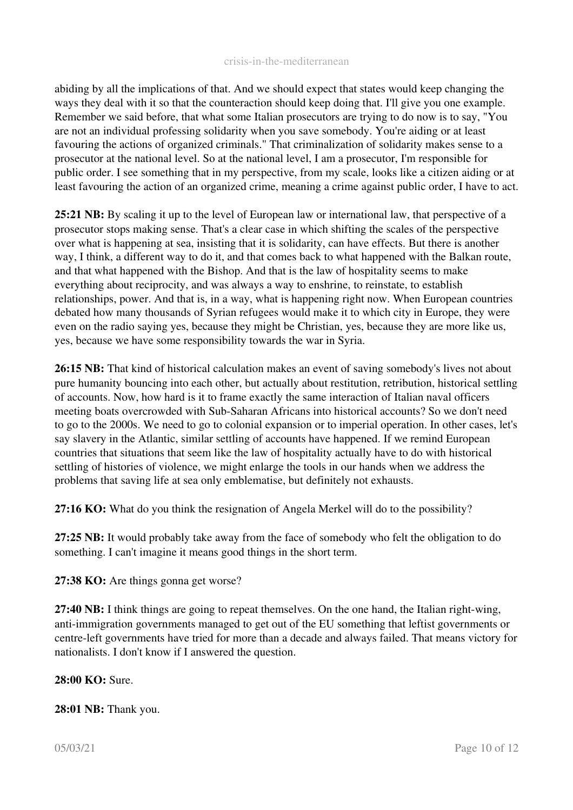abiding by all the implications of that. And we should expect that states would keep changing the ways they deal with it so that the counteraction should keep doing that. I'll give you one example. Remember we said before, that what some Italian prosecutors are trying to do now is to say, "You are not an individual professing solidarity when you save somebody. You're aiding or at least favouring the actions of organized criminals." That criminalization of solidarity makes sense to a prosecutor at the national level. So at the national level, I am a prosecutor, I'm responsible for public order. I see something that in my perspective, from my scale, looks like a citizen aiding or at least favouring the action of an organized crime, meaning a crime against public order, I have to act.

25:21 NB: By scaling it up to the level of European law or international law, that perspective of a prosecutor stops making sense. That's a clear case in which shifting the scales of the perspective over what is happening at sea, insisting that it is solidarity, can have effects. But there is another way, I think, a different way to do it, and that comes back to what happened with the Balkan route, and that what happened with the Bishop. And that is the law of hospitality seems to make everything about reciprocity, and was always a way to enshrine, to reinstate, to establish relationships, power. And that is, in a way, what is happening right now. When European countries debated how many thousands of Syrian refugees would make it to which city in Europe, they were even on the radio saying yes, because they might be Christian, yes, because they are more like us, yes, because we have some responsibility towards the war in Syria.

26:15 NB: That kind of historical calculation makes an event of saving somebody's lives not about pure humanity bouncing into each other, but actually about restitution, retribution, historical settling of accounts. Now, how hard is it to frame exactly the same interaction of Italian naval officers meeting boats overcrowded with Sub-Saharan Africans into historical accounts? So we don't need to go to the 2000s. We need to go to colonial expansion or to imperial operation. In other cases, let's say slavery in the Atlantic, similar settling of accounts have happened. If we remind European countries that situations that seem like the law of hospitality actually have to do with historical settling of histories of violence, we might enlarge the tools in our hands when we address the problems that saving life at sea only emblematise, but definitely not exhausts.

27:16 KO: What do you think the resignation of Angela Merkel will do to the possibility?

27:25 NB: It would probably take away from the face of somebody who felt the obligation to do something. I can't imagine it means good things in the short term.

27:38 KO: Are things gonna get worse?

27:40 NB: I think things are going to repeat themselves. On the one hand, the Italian right-wing, anti-immigration governments managed to get out of the EU something that leftist governments or centreleft governments have tried for more than a decade and always failed. That means victory for nationalists. I don't know if I answered the question.

28:00 KO: Sure.

28:01 NB: Thank you.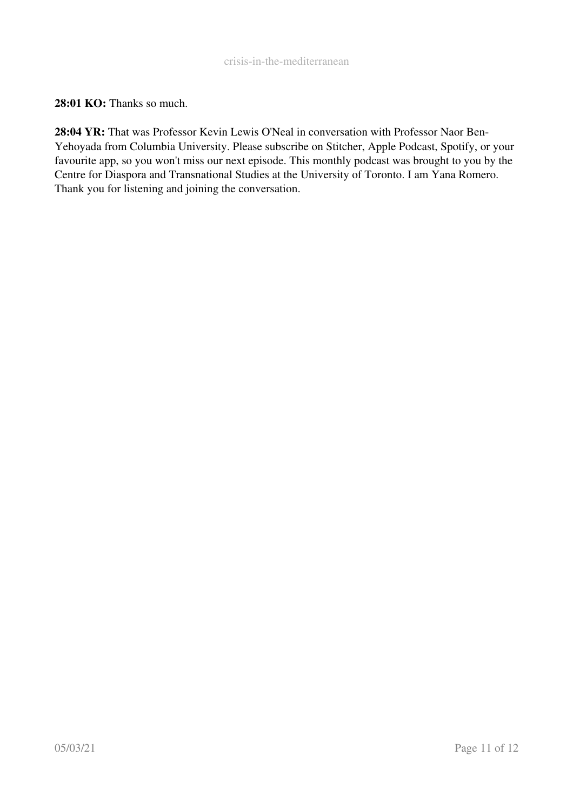28:01 KO: Thanks so much.

28:04 YR: That was Professor Kevin Lewis O'Neal in conversation with Professor Naor Ben-Yehoyada from Columbia University. Please subscribe on Stitcher, Apple Podcast, Spotify, or your favourite app, so you won't miss our next episode. This monthly podcast was brought to you by the Centre for Diaspora and Transnational Studies at the University of Toronto. I am Yana Romero. Thank you for listening and joining the conversation.